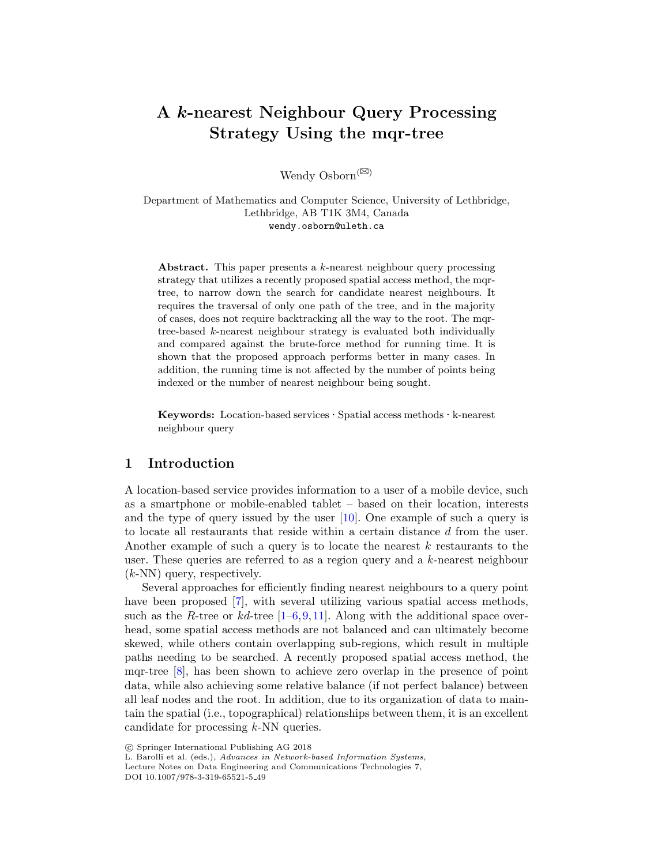# A *k*-nearest Neighbour Query Processing Strategy Using the mqr-tree

Wendy Osborn<sup>( $\boxtimes$ )</sup>

Department of Mathematics and Computer Science, University of Lethbridge, Lethbridge, AB T1K 3M4, Canada wendy.osborn@uleth.ca

Abstract. This paper presents a *k*-nearest neighbour query processing strategy that utilizes a recently proposed spatial access method, the mqrtree, to narrow down the search for candidate nearest neighbours. It requires the traversal of only one path of the tree, and in the majority of cases, does not require backtracking all the way to the root. The mqrtree-based *k*-nearest neighbour strategy is evaluated both individually and compared against the brute-force method for running time. It is shown that the proposed approach performs better in many cases. In addition, the running time is not affected by the number of points being indexed or the number of nearest neighbour being sought.

Keywords: Location-based services *·* Spatial access methods *·* k-nearest neighbour query

# 1 Introduction

A location-based service provides information to a user of a mobile device, such as a smartphone or mobile-enabled tablet – based on their location, interests and the type of query issued by the user [10]. One example of such a query is to locate all restaurants that reside within a certain distance *d* from the user. Another example of such a query is to locate the nearest *k* restaurants to the user. These queries are referred to as a region query and a *k*-nearest neighbour (*k*-NN) query, respectively.

Several approaches for efficiently finding nearest neighbours to a query point have been proposed [7], with several utilizing various spatial access methods, such as the *R*-tree or  $kd$ -tree  $[1-6,9,11]$ . Along with the additional space overhead, some spatial access methods are not balanced and can ultimately become skewed, while others contain overlapping sub-regions, which result in multiple paths needing to be searched. A recently proposed spatial access method, the mqr-tree [8], has been shown to achieve zero overlap in the presence of point data, while also achieving some relative balance (if not perfect balance) between all leaf nodes and the root. In addition, due to its organization of data to maintain the spatial (i.e., topographical) relationships between them, it is an excellent candidate for processing *k*-NN queries.

L. Barolli et al. (eds.), *Advances in Network-based Information Systems*,

<sup>⃝</sup>c Springer International Publishing AG 2018

Lecture Notes on Data Engineering and Communications Technologies 7,

DOI 10.1007/978-3-319-65521-5 49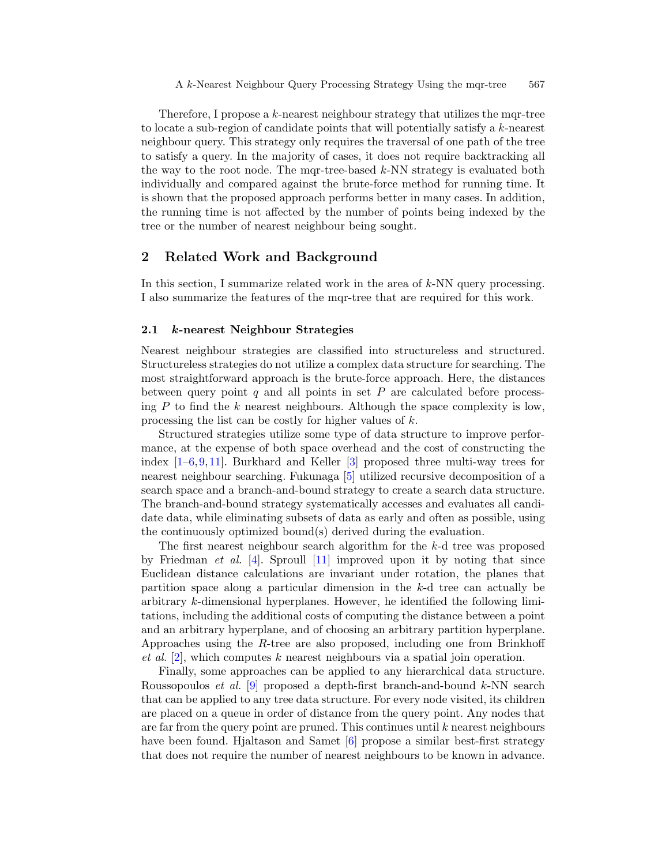Therefore, I propose a *k*-nearest neighbour strategy that utilizes the mqr-tree to locate a sub-region of candidate points that will potentially satisfy a *k*-nearest neighbour query. This strategy only requires the traversal of one path of the tree to satisfy a query. In the majority of cases, it does not require backtracking all the way to the root node. The mqr-tree-based *k*-NN strategy is evaluated both individually and compared against the brute-force method for running time. It is shown that the proposed approach performs better in many cases. In addition, the running time is not affected by the number of points being indexed by the tree or the number of nearest neighbour being sought.

# 2 Related Work and Background

In this section, I summarize related work in the area of *k*-NN query processing. I also summarize the features of the mqr-tree that are required for this work.

### 2.1 *k*-nearest Neighbour Strategies

Nearest neighbour strategies are classified into structureless and structured. Structureless strategies do not utilize a complex data structure for searching. The most straightforward approach is the brute-force approach. Here, the distances between query point *q* and all points in set *P* are calculated before processing *P* to find the *k* nearest neighbours. Although the space complexity is low, processing the list can be costly for higher values of *k*.

Structured strategies utilize some type of data structure to improve performance, at the expense of both space overhead and the cost of constructing the index  $[1-6,9,11]$ . Burkhard and Keller  $[3]$  proposed three multi-way trees for nearest neighbour searching. Fukunaga [5] utilized recursive decomposition of a search space and a branch-and-bound strategy to create a search data structure. The branch-and-bound strategy systematically accesses and evaluates all candidate data, while eliminating subsets of data as early and often as possible, using the continuously optimized bound(s) derived during the evaluation.

The first nearest neighbour search algorithm for the *k*-d tree was proposed by Friedman *et al.* [4]. Sproull [11] improved upon it by noting that since Euclidean distance calculations are invariant under rotation, the planes that partition space along a particular dimension in the *k*-d tree can actually be arbitrary *k*-dimensional hyperplanes. However, he identified the following limitations, including the additional costs of computing the distance between a point and an arbitrary hyperplane, and of choosing an arbitrary partition hyperplane. Approaches using the *R*-tree are also proposed, including one from Brinkhoff *et al.* [2], which computes *k* nearest neighbours via a spatial join operation.

Finally, some approaches can be applied to any hierarchical data structure. Roussopoulos *et al.* [9] proposed a depth-first branch-and-bound *k*-NN search that can be applied to any tree data structure. For every node visited, its children are placed on a queue in order of distance from the query point. Any nodes that are far from the query point are pruned. This continues until *k* nearest neighbours have been found. Hjaltason and Samet [6] propose a similar best-first strategy that does not require the number of nearest neighbours to be known in advance.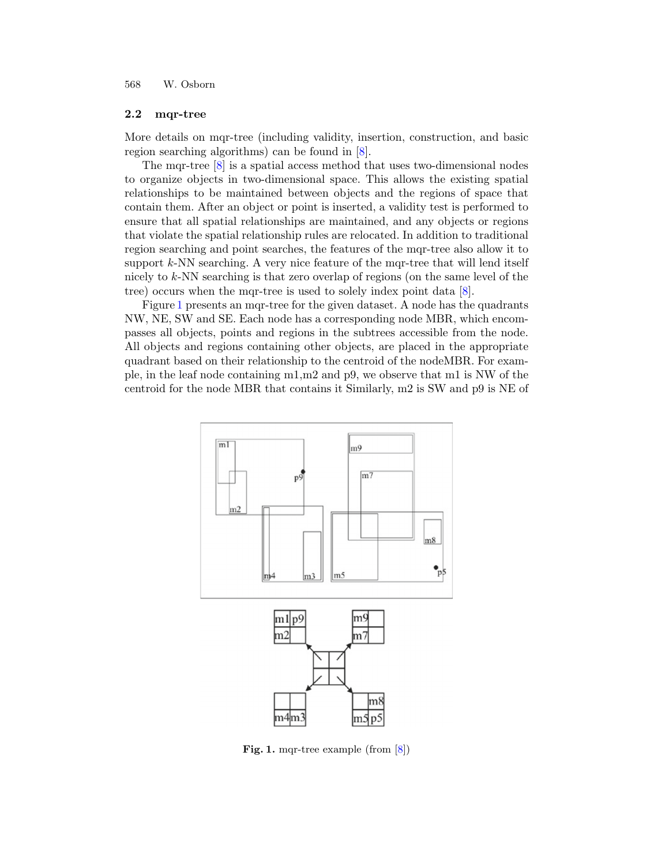#### 2.2 mqr-tree

More details on mqr-tree (including validity, insertion, construction, and basic region searching algorithms) can be found in [8].

The mqr-tree [8] is a spatial access method that uses two-dimensional nodes to organize objects in two-dimensional space. This allows the existing spatial relationships to be maintained between objects and the regions of space that contain them. After an object or point is inserted, a validity test is performed to ensure that all spatial relationships are maintained, and any objects or regions that violate the spatial relationship rules are relocated. In addition to traditional region searching and point searches, the features of the mqr-tree also allow it to support *k*-NN searching. A very nice feature of the mqr-tree that will lend itself nicely to *k*-NN searching is that zero overlap of regions (on the same level of the tree) occurs when the mqr-tree is used to solely index point data [8].

Figure 1 presents an mqr-tree for the given dataset. A node has the quadrants NW, NE, SW and SE. Each node has a corresponding node MBR, which encompasses all objects, points and regions in the subtrees accessible from the node. All objects and regions containing other objects, are placed in the appropriate quadrant based on their relationship to the centroid of the nodeMBR. For example, in the leaf node containing m1,m2 and p9, we observe that m1 is NW of the centroid for the node MBR that contains it Similarly, m2 is SW and p9 is NE of



Fig. 1. mqr-tree example (from [8])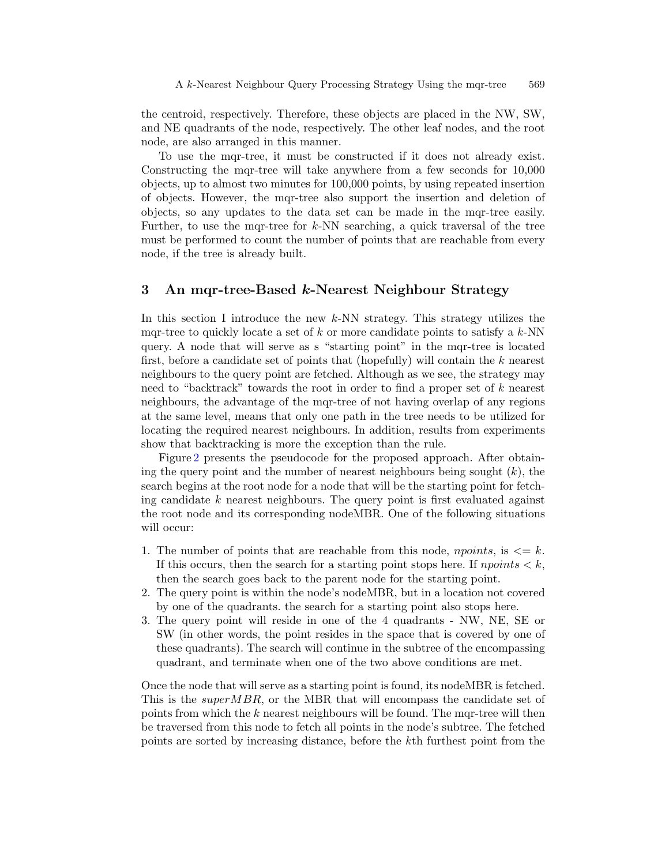the centroid, respectively. Therefore, these objects are placed in the NW, SW, and NE quadrants of the node, respectively. The other leaf nodes, and the root node, are also arranged in this manner.

To use the mqr-tree, it must be constructed if it does not already exist. Constructing the mqr-tree will take anywhere from a few seconds for 10,000 objects, up to almost two minutes for 100,000 points, by using repeated insertion of objects. However, the mqr-tree also support the insertion and deletion of objects, so any updates to the data set can be made in the mqr-tree easily. Further, to use the mqr-tree for *k*-NN searching, a quick traversal of the tree must be performed to count the number of points that are reachable from every node, if the tree is already built.

# 3 An mqr-tree-Based *k*-Nearest Neighbour Strategy

In this section I introduce the new *k*-NN strategy. This strategy utilizes the mqr-tree to quickly locate a set of *k* or more candidate points to satisfy a *k*-NN query. A node that will serve as s "starting point" in the mqr-tree is located first, before a candidate set of points that (hopefully) will contain the *k* nearest neighbours to the query point are fetched. Although as we see, the strategy may need to "backtrack" towards the root in order to find a proper set of *k* nearest neighbours, the advantage of the mqr-tree of not having overlap of any regions at the same level, means that only one path in the tree needs to be utilized for locating the required nearest neighbours. In addition, results from experiments show that backtracking is more the exception than the rule.

Figure 2 presents the pseudocode for the proposed approach. After obtaining the query point and the number of nearest neighbours being sought (*k*), the search begins at the root node for a node that will be the starting point for fetching candidate *k* nearest neighbours. The query point is first evaluated against the root node and its corresponding nodeMBR. One of the following situations will occur:

- 1. The number of points that are reachable from this node, *npoints*, is  $\leq k$ . If this occurs, then the search for a starting point stops here. If  $npoints < k$ , then the search goes back to the parent node for the starting point.
- 2. The query point is within the node's nodeMBR, but in a location not covered by one of the quadrants. the search for a starting point also stops here.
- 3. The query point will reside in one of the 4 quadrants NW, NE, SE or SW (in other words, the point resides in the space that is covered by one of these quadrants). The search will continue in the subtree of the encompassing quadrant, and terminate when one of the two above conditions are met.

Once the node that will serve as a starting point is found, its nodeMBR is fetched. This is the *superMBR*, or the MBR that will encompass the candidate set of points from which the *k* nearest neighbours will be found. The mqr-tree will then be traversed from this node to fetch all points in the node's subtree. The fetched points are sorted by increasing distance, before the *k*th furthest point from the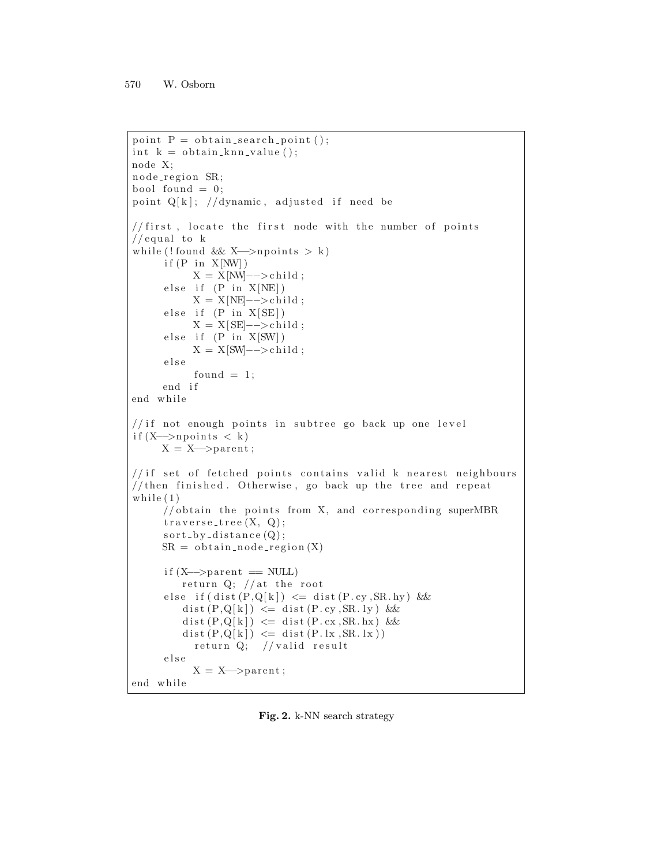```
point P = obtain_search_point ();
int k = 0btain_knn_value();
node X;
node_region SR;
bool found = 0;
point Q[k]; //dynamic, adjusted if need be
//first, locate the first node with the number of points
// equal to kw hil e ( ! found && X−−>npoints > k )
     if (P in X[NW])X = X[NW]−−>child ;
     else if (P \text{ in } X[NE])X = X[NE]−−>child ;
     else if (P \text{ in } X[SE])X = X[SE] – \gt child ;
     else if (P \text{ in } X[SW])X = X[SW]−−>child ;
     else
           found = 1;
     end i f
end while
// if not enough points in subtree go back up one level
if (X \rightarrow p \text{ points} < k)X=X−−>parent ;
// if set of fetched points contains valid k nearest neighbours
// then finished. Otherwise, go back up the tree and repeat
while (1)
     // obtain the points from X, and corresponding superMBR
     traverse\_tree(X, Q);sort\_by\_distance(Q);SR = obtain\_node\_region(X)if (X \rightarrow parent = NULL)return Q; // at the root
     else if (dist(P,Q[k]) \leq dist(P cy, SR.hy) &&
         dist(P,Q[k]) \leq dist(P,cy, SR. ly) &&
         dist(P,Q[k]) \leq dist(P.cx, SR.hx) &&
         dist(P,Q[k]) \leq dist(P.lx, SR.lx))return Q; // valid result
     else
           X = X \rightarrowparent ;
end while
```
Fig. 2. k-NN search strategy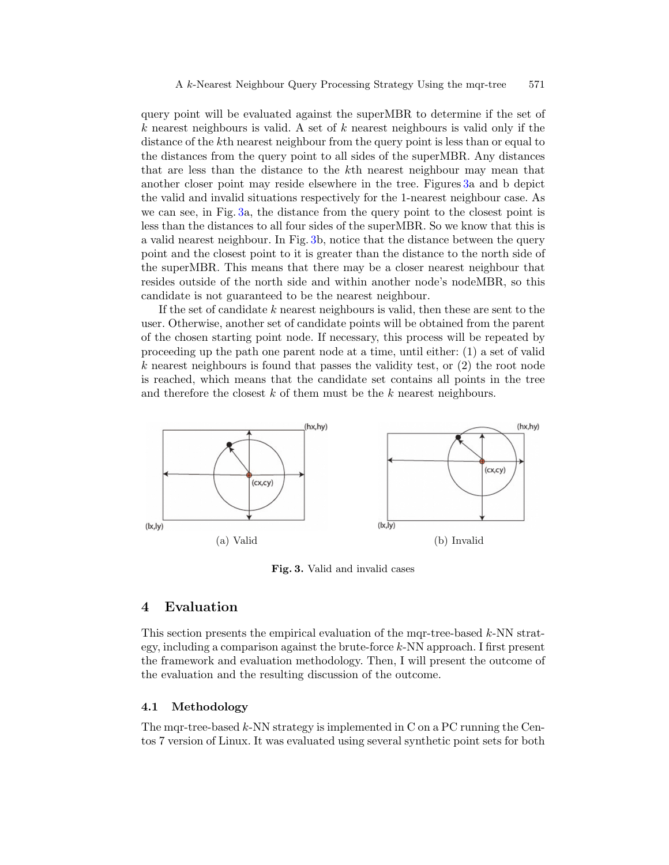query point will be evaluated against the superMBR to determine if the set of *k* nearest neighbours is valid. A set of *k* nearest neighbours is valid only if the distance of the *k*th nearest neighbour from the query point is less than or equal to the distances from the query point to all sides of the superMBR. Any distances that are less than the distance to the *k*th nearest neighbour may mean that another closer point may reside elsewhere in the tree. Figures 3a and b depict the valid and invalid situations respectively for the 1-nearest neighbour case. As we can see, in Fig. 3a, the distance from the query point to the closest point is less than the distances to all four sides of the superMBR. So we know that this is a valid nearest neighbour. In Fig. 3b, notice that the distance between the query point and the closest point to it is greater than the distance to the north side of the superMBR. This means that there may be a closer nearest neighbour that resides outside of the north side and within another node's nodeMBR, so this candidate is not guaranteed to be the nearest neighbour.

If the set of candidate *k* nearest neighbours is valid, then these are sent to the user. Otherwise, another set of candidate points will be obtained from the parent of the chosen starting point node. If necessary, this process will be repeated by proceeding up the path one parent node at a time, until either: (1) a set of valid *k* nearest neighbours is found that passes the validity test, or (2) the root node is reached, which means that the candidate set contains all points in the tree and therefore the closest *k* of them must be the *k* nearest neighbours.



Fig. 3. Valid and invalid cases

# 4 Evaluation

This section presents the empirical evaluation of the mqr-tree-based *k*-NN strategy, including a comparison against the brute-force *k*-NN approach. I first present the framework and evaluation methodology. Then, I will present the outcome of the evaluation and the resulting discussion of the outcome.

#### 4.1 Methodology

The mqr-tree-based *k*-NN strategy is implemented in C on a PC running the Centos 7 version of Linux. It was evaluated using several synthetic point sets for both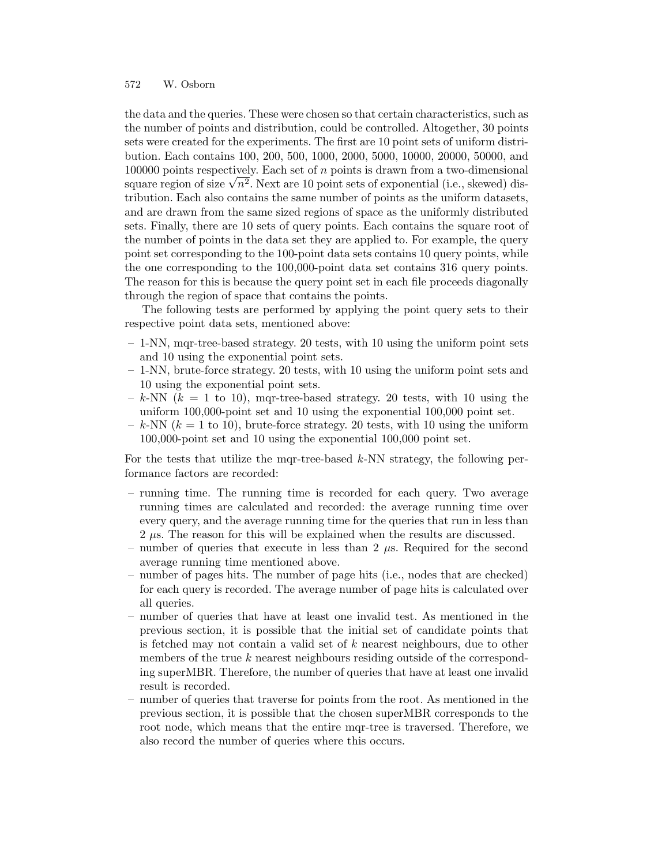the data and the queries. These were chosen so that certain characteristics, such as the number of points and distribution, could be controlled. Altogether, 30 points sets were created for the experiments. The first are 10 point sets of uniform distribution. Each contains 100, 200, 500, 1000, 2000, 5000, 10000, 20000, 50000, and 100000 points respectively. Each set of *n* points is drawn from a two-dimensional square region of size  $\sqrt{n^2}$ . Next are 10 point sets of exponential (i.e., skewed) distribution. Each also contains the same number of points as the uniform datasets, and are drawn from the same sized regions of space as the uniformly distributed sets. Finally, there are 10 sets of query points. Each contains the square root of the number of points in the data set they are applied to. For example, the query point set corresponding to the 100-point data sets contains 10 query points, while the one corresponding to the 100,000-point data set contains 316 query points. The reason for this is because the query point set in each file proceeds diagonally through the region of space that contains the points.

The following tests are performed by applying the point query sets to their respective point data sets, mentioned above:

- 1-NN, mqr-tree-based strategy. 20 tests, with 10 using the uniform point sets and 10 using the exponential point sets.
- 1-NN, brute-force strategy. 20 tests, with 10 using the uniform point sets and 10 using the exponential point sets.
- $-k$ -NN  $(k = 1$  to 10), mqr-tree-based strategy. 20 tests, with 10 using the uniform 100,000-point set and 10 using the exponential 100,000 point set.
- $-k$ -NN  $(k = 1$  to 10), brute-force strategy. 20 tests, with 10 using the uniform 100,000-point set and 10 using the exponential 100,000 point set.

For the tests that utilize the mqr-tree-based *k*-NN strategy, the following performance factors are recorded:

- running time. The running time is recorded for each query. Two average running times are calculated and recorded: the average running time over every query, and the average running time for the queries that run in less than 2  $\mu$ s. The reason for this will be explained when the results are discussed.
- number of queries that execute in less than 2 *µ*s. Required for the second average running time mentioned above.
- number of pages hits. The number of page hits (i.e., nodes that are checked) for each query is recorded. The average number of page hits is calculated over all queries.
- number of queries that have at least one invalid test. As mentioned in the previous section, it is possible that the initial set of candidate points that is fetched may not contain a valid set of *k* nearest neighbours, due to other members of the true *k* nearest neighbours residing outside of the corresponding superMBR. Therefore, the number of queries that have at least one invalid result is recorded.
- number of queries that traverse for points from the root. As mentioned in the previous section, it is possible that the chosen superMBR corresponds to the root node, which means that the entire mqr-tree is traversed. Therefore, we also record the number of queries where this occurs.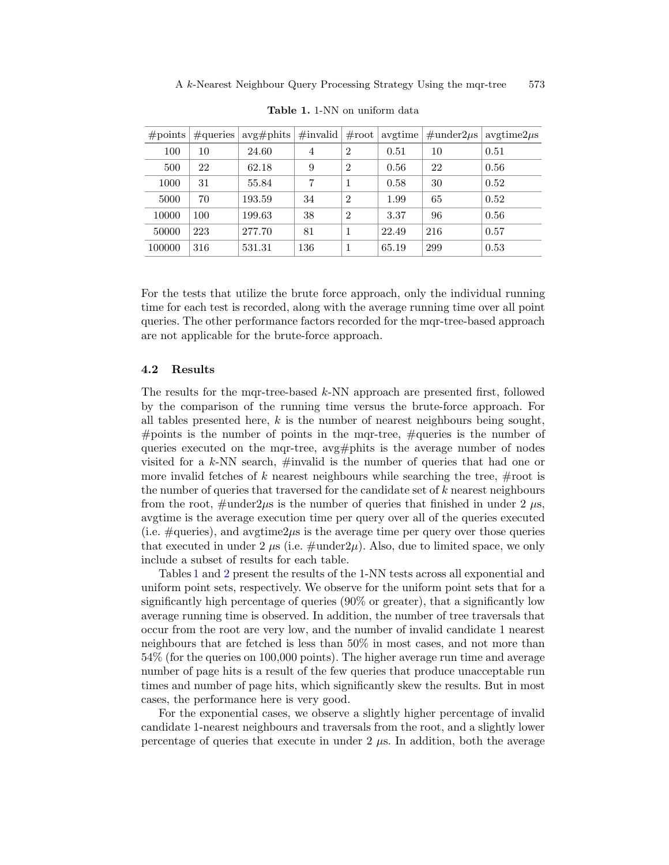| $\#\text{points}$ | $\#$ queries | $\arg\# \text{plits}$ | $\#\text{invalid} \mid \#\text{root} \mid$ |                |       |     | $\alpha$ avgtime $\frac{1}{2}$ #under2 $\mu$ s $\alpha$ avgtime2 $\mu$ s |
|-------------------|--------------|-----------------------|--------------------------------------------|----------------|-------|-----|--------------------------------------------------------------------------|
| 100               | 10           | 24.60                 | 4                                          | $\overline{2}$ | 0.51  | 10  | 0.51                                                                     |
| 500               | 22           | 62.18                 | 9                                          | 2              | 0.56  | 22  | 0.56                                                                     |
| 1000              | 31           | 55.84                 |                                            | 1              | 0.58  | 30  | 0.52                                                                     |
| 5000              | 70           | 193.59                | 34                                         | $\overline{2}$ | 1.99  | 65  | 0.52                                                                     |
| 10000             | 100          | 199.63                | 38                                         | $\overline{2}$ | 3.37  | 96  | 0.56                                                                     |
| 50000             | 223          | 277.70                | 81                                         | 1              | 22.49 | 216 | 0.57                                                                     |
| 100000            | 316          | 531.31                | 136                                        | 1              | 65.19 | 299 | 0.53                                                                     |

Table 1. 1-NN on uniform data

For the tests that utilize the brute force approach, only the individual running time for each test is recorded, along with the average running time over all point queries. The other performance factors recorded for the mqr-tree-based approach are not applicable for the brute-force approach.

#### 4.2 Results

The results for the mqr-tree-based *k*-NN approach are presented first, followed by the comparison of the running time versus the brute-force approach. For all tables presented here, *k* is the number of nearest neighbours being sought, #points is the number of points in the mqr-tree, #queries is the number of queries executed on the mqr-tree, avg#phits is the average number of nodes visited for a *k*-NN search, #invalid is the number of queries that had one or more invalid fetches of  $k$  nearest neighbours while searching the tree,  $\#$ root is the number of queries that traversed for the candidate set of *k* nearest neighbours from the root,  $\#$ under $2\mu s$  is the number of queries that finished in under 2  $\mu s$ , avgtime is the average execution time per query over all of the queries executed (i.e.  $\#$ queries), and avgtime $2\mu$ s is the average time per query over those queries that executed in under 2  $\mu$ s (i.e.  $\#\text{under}2\mu$ ). Also, due to limited space, we only include a subset of results for each table.

Tables 1 and 2 present the results of the 1-NN tests across all exponential and uniform point sets, respectively. We observe for the uniform point sets that for a significantly high percentage of queries (90% or greater), that a significantly low average running time is observed. In addition, the number of tree traversals that occur from the root are very low, and the number of invalid candidate 1 nearest neighbours that are fetched is less than 50% in most cases, and not more than 54% (for the queries on 100,000 points). The higher average run time and average number of page hits is a result of the few queries that produce unacceptable run times and number of page hits, which significantly skew the results. But in most cases, the performance here is very good.

For the exponential cases, we observe a slightly higher percentage of invalid candidate 1-nearest neighbours and traversals from the root, and a slightly lower percentage of queries that execute in under 2 *µ*s. In addition, both the average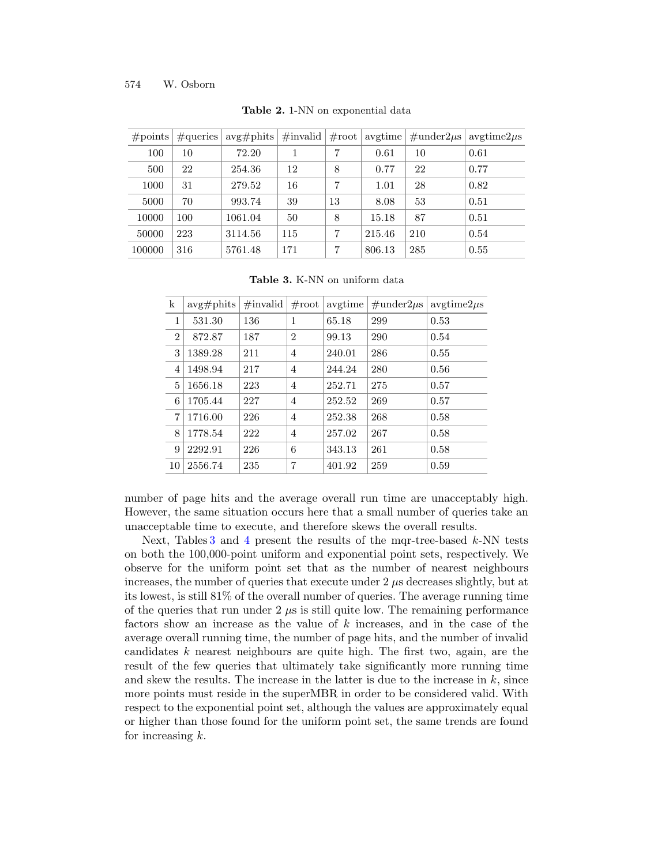| #points | $\#$ queries | $avg\#^{phits}$ | $\#\text{invalid}$ | $\#\text{root}$ | avgtime | $\#\text{under2}\mu\text{s}$ | $avgtime2\mu s$ |
|---------|--------------|-----------------|--------------------|-----------------|---------|------------------------------|-----------------|
| 100     | 10           | 72.20           |                    | 7               | 0.61    | 10                           | 0.61            |
| 500     | 22           | 254.36          | 12                 | 8               | 0.77    | 22                           | 0.77            |
| 1000    | 31           | 279.52          | 16                 | 7               | 1.01    | 28                           | 0.82            |
| 5000    | 70           | 993.74          | 39                 | 13              | 8.08    | 53                           | 0.51            |
| 10000   | 100          | 1061.04         | 50                 | 8               | 15.18   | 87                           | 0.51            |
| 50000   | 223          | 3114.56         | 115                | 7               | 215.46  | 210                          | 0.54            |
| 100000  | 316          | 5761.48         | 171                | 7               | 806.13  | 285                          | 0.55            |

Table 2. 1-NN on exponential data

Table 3. K-NN on uniform data

| k              | $avg\#^{phits}$ | $\#\text{invalid}$ | $\#\text{root}$ | avgtime | $\#\text{under2}\mu\text{s}$ | $\frac{\text{avgtime2}\mu s}{\text{avgtime2}}$ |
|----------------|-----------------|--------------------|-----------------|---------|------------------------------|------------------------------------------------|
| 1              | 531.30          | 136                | 1               | 65.18   | 299                          | 0.53                                           |
| $\overline{2}$ | 872.87          | 187                | $\overline{2}$  | 99.13   | 290                          | 0.54                                           |
| 3              | 1389.28         | 211                | $\overline{4}$  | 240.01  | 286                          | 0.55                                           |
| 4              | 1498.94         | 217                | $\overline{4}$  | 244.24  | 280                          | 0.56                                           |
| 5              | 1656.18         | 223                | $\overline{4}$  | 252.71  | 275                          | 0.57                                           |
| 6              | 1705.44         | 227                | $\overline{4}$  | 252.52  | 269                          | 0.57                                           |
| 7              | 1716.00         | 226                | $\overline{4}$  | 252.38  | 268                          | 0.58                                           |
| 8              | 1778.54         | 222                | $\overline{4}$  | 257.02  | 267                          | 0.58                                           |
| 9              | 2292.91         | 226                | 6               | 343.13  | 261                          | 0.58                                           |
| 10             | 2556.74         | 235                | 7               | 401.92  | 259                          | 0.59                                           |

number of page hits and the average overall run time are unacceptably high. However, the same situation occurs here that a small number of queries take an unacceptable time to execute, and therefore skews the overall results.

Next, Tables 3 and 4 present the results of the mqr-tree-based *k*-NN tests on both the 100,000-point uniform and exponential point sets, respectively. We observe for the uniform point set that as the number of nearest neighbours increases, the number of queries that execute under 2 *µ*s decreases slightly, but at its lowest, is still 81% of the overall number of queries. The average running time of the queries that run under  $2 \mu s$  is still quite low. The remaining performance factors show an increase as the value of *k* increases, and in the case of the average overall running time, the number of page hits, and the number of invalid candidates *k* nearest neighbours are quite high. The first two, again, are the result of the few queries that ultimately take significantly more running time and skew the results. The increase in the latter is due to the increase in *k*, since more points must reside in the superMBR in order to be considered valid. With respect to the exponential point set, although the values are approximately equal or higher than those found for the uniform point set, the same trends are found for increasing *k*.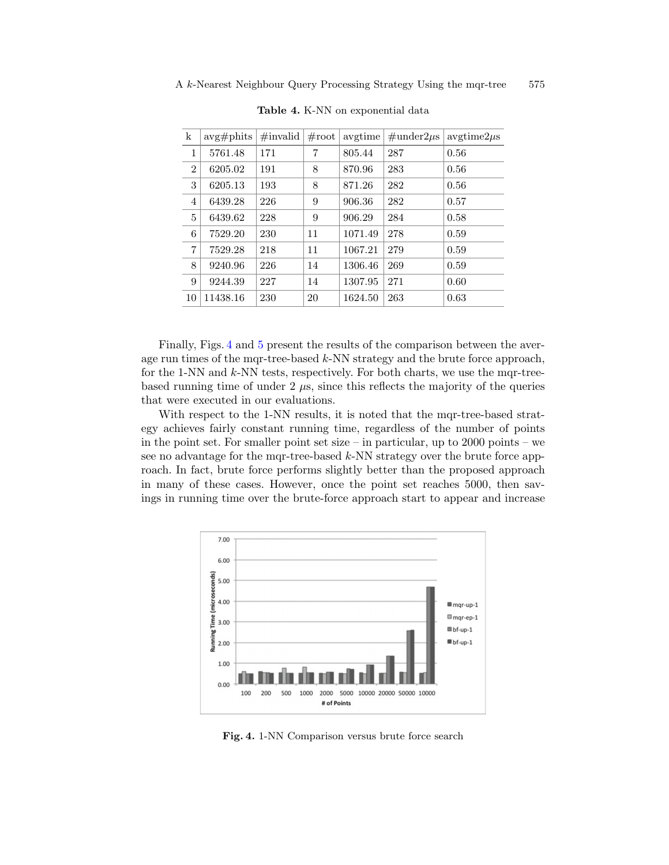| k              | $avg\#^{phits}$ | $\#\text{invalid}$ | $\#\text{root}$ | avgtime | $\#\text{under2}\mu\text{s}$ | $\frac{\text{avgtime2}\mu\text{s}}{2}$ |
|----------------|-----------------|--------------------|-----------------|---------|------------------------------|----------------------------------------|
| 1              | 5761.48         | 171                | 7               | 805.44  | 287                          | 0.56                                   |
| $\overline{2}$ | 6205.02         | 191                | 8               | 870.96  | 283                          | 0.56                                   |
| 3              | 6205.13         | 193                | 8               | 871.26  | 282                          | 0.56                                   |
| $\overline{4}$ | 6439.28         | 226                | 9               | 906.36  | 282                          | 0.57                                   |
| 5              | 6439.62         | 228                | 9               | 906.29  | 284                          | 0.58                                   |
| 6              | 7529.20         | 230                | 11              | 1071.49 | 278                          | 0.59                                   |
| 7              | 7529.28         | 218                | 11              | 1067.21 | 279                          | 0.59                                   |
| 8              | 9240.96         | 226                | 14              | 1306.46 | 269                          | 0.59                                   |
| 9              | 9244.39         | 227                | 14              | 1307.95 | 271                          | 0.60                                   |
| 10             | 11438.16        | 230                | 20              | 1624.50 | 263                          | 0.63                                   |

Table 4. K-NN on exponential data

Finally, Figs. 4 and 5 present the results of the comparison between the average run times of the mqr-tree-based *k*-NN strategy and the brute force approach, for the 1-NN and *k*-NN tests, respectively. For both charts, we use the mqr-treebased running time of under  $2 \mu s$ , since this reflects the majority of the queries that were executed in our evaluations.

With respect to the 1-NN results, it is noted that the mqr-tree-based strategy achieves fairly constant running time, regardless of the number of points in the point set. For smaller point set size – in particular, up to 2000 points – we see no advantage for the mqr-tree-based *k*-NN strategy over the brute force approach. In fact, brute force performs slightly better than the proposed approach in many of these cases. However, once the point set reaches 5000, then savings in running time over the brute-force approach start to appear and increase



Fig. 4. 1-NN Comparison versus brute force search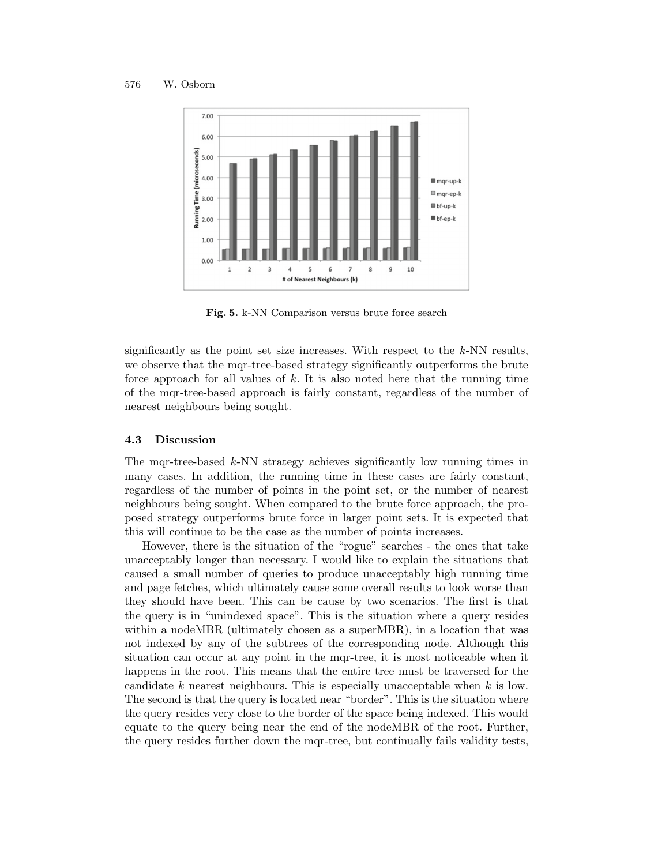

Fig. 5. k-NN Comparison versus brute force search

significantly as the point set size increases. With respect to the *k*-NN results, we observe that the mqr-tree-based strategy significantly outperforms the brute force approach for all values of *k*. It is also noted here that the running time of the mqr-tree-based approach is fairly constant, regardless of the number of nearest neighbours being sought.

#### 4.3 Discussion

The mqr-tree-based *k*-NN strategy achieves significantly low running times in many cases. In addition, the running time in these cases are fairly constant, regardless of the number of points in the point set, or the number of nearest neighbours being sought. When compared to the brute force approach, the proposed strategy outperforms brute force in larger point sets. It is expected that this will continue to be the case as the number of points increases.

However, there is the situation of the "rogue" searches - the ones that take unacceptably longer than necessary. I would like to explain the situations that caused a small number of queries to produce unacceptably high running time and page fetches, which ultimately cause some overall results to look worse than they should have been. This can be cause by two scenarios. The first is that the query is in "unindexed space". This is the situation where a query resides within a nodeMBR (ultimately chosen as a superMBR), in a location that was not indexed by any of the subtrees of the corresponding node. Although this situation can occur at any point in the mqr-tree, it is most noticeable when it happens in the root. This means that the entire tree must be traversed for the candidate *k* nearest neighbours. This is especially unacceptable when *k* is low. The second is that the query is located near "border". This is the situation where the query resides very close to the border of the space being indexed. This would equate to the query being near the end of the nodeMBR of the root. Further, the query resides further down the mqr-tree, but continually fails validity tests,